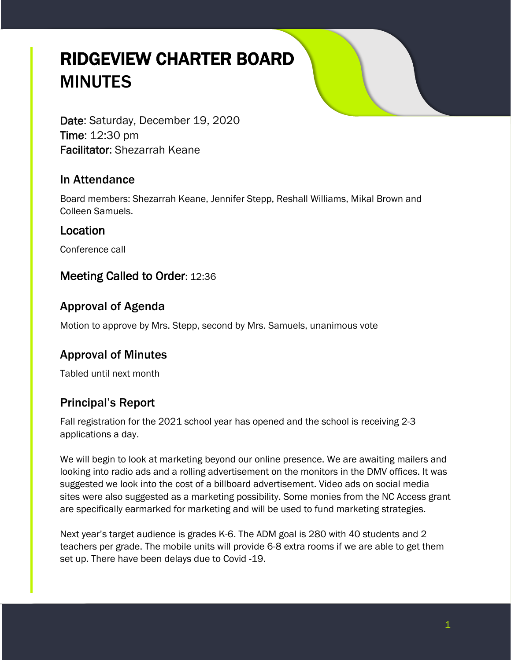# RIDGEVIEW CHARTER BOARD MINUTES

Date: Saturday, December 19, 2020 Time: 12:30 pm Facilitator: Shezarrah Keane

#### In Attendance

Board members: Shezarrah Keane, Jennifer Stepp, Reshall Williams, Mikal Brown and Colleen Samuels.

#### Location

Conference call

## Meeting Called to Order: 12:36

## Approval of Agenda

Motion to approve by Mrs. Stepp, second by Mrs. Samuels, unanimous vote

# Approval of Minutes

Tabled until next month

# Principal's Report

Fall registration for the 2021 school year has opened and the school is receiving 2-3 applications a day.

We will begin to look at marketing beyond our online presence. We are awaiting mailers and looking into radio ads and a rolling advertisement on the monitors in the DMV offices. It was suggested we look into the cost of a billboard advertisement. Video ads on social media sites were also suggested as a marketing possibility. Some monies from the NC Access grant are specifically earmarked for marketing and will be used to fund marketing strategies.

Next year's target audience is grades K-6. The ADM goal is 280 with 40 students and 2 teachers per grade. The mobile units will provide 6-8 extra rooms if we are able to get them set up. There have been delays due to Covid -19.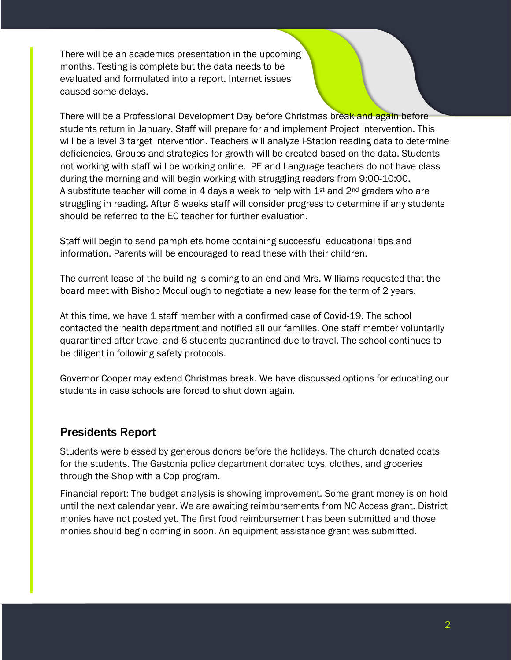There will be an academics presentation in the upcoming months. Testing is complete but the data needs to be evaluated and formulated into a report. Internet issues caused some delays.

There will be a Professional Development Day before Christmas break and again before students return in January. Staff will prepare for and implement Project Intervention. This will be a level 3 target intervention. Teachers will analyze i-Station reading data to determine deficiencies. Groups and strategies for growth will be created based on the data. Students not working with staff will be working online. PE and Language teachers do not have class during the morning and will begin working with struggling readers from 9:00-10:00. A substitute teacher will come in 4 days a week to help with  $1<sup>st</sup>$  and  $2<sup>nd</sup>$  graders who are struggling in reading. After 6 weeks staff will consider progress to determine if any students should be referred to the EC teacher for further evaluation.

Staff will begin to send pamphlets home containing successful educational tips and information. Parents will be encouraged to read these with their children.

The current lease of the building is coming to an end and Mrs. Williams requested that the board meet with Bishop Mccullough to negotiate a new lease for the term of 2 years.

At this time, we have 1 staff member with a confirmed case of Covid-19. The school contacted the health department and notified all our families. One staff member voluntarily quarantined after travel and 6 students quarantined due to travel. The school continues to be diligent in following safety protocols.

Governor Cooper may extend Christmas break. We have discussed options for educating our students in case schools are forced to shut down again.

#### Presidents Report

Students were blessed by generous donors before the holidays. The church donated coats for the students. The Gastonia police department donated toys, clothes, and groceries through the Shop with a Cop program.

Financial report: The budget analysis is showing improvement. Some grant money is on hold until the next calendar year. We are awaiting reimbursements from NC Access grant. District monies have not posted yet. The first food reimbursement has been submitted and those monies should begin coming in soon. An equipment assistance grant was submitted.